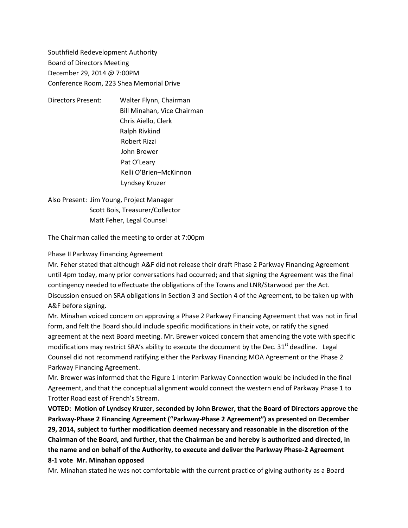Southfield Redevelopment Authority Board of Directors Meeting December 29, 2014 @ 7:00PM Conference Room, 223 Shea Memorial Drive

Directors Present: Walter Flynn, Chairman Bill Minahan, Vice Chairman Chris Aiello, Clerk Ralph Rivkind Robert Rizzi John Brewer Pat O'Leary Kelli O'Brien–McKinnon Lyndsey Kruzer

Also Present: Jim Young, Project Manager Scott Bois, Treasurer/Collector Matt Feher, Legal Counsel

The Chairman called the meeting to order at 7:00pm

## Phase II Parkway Financing Agreement

Mr. Feher stated that although A&F did not release their draft Phase 2 Parkway Financing Agreement until 4pm today, many prior conversations had occurred; and that signing the Agreement was the final contingency needed to effectuate the obligations of the Towns and LNR/Starwood per the Act. Discussion ensued on SRA obligations in Section 3 and Section 4 of the Agreement, to be taken up with A&F before signing.

Mr. Minahan voiced concern on approving a Phase 2 Parkway Financing Agreement that was not in final form, and felt the Board should include specific modifications in their vote, or ratify the signed agreement at the next Board meeting. Mr. Brewer voiced concern that amending the vote with specific modifications may restrict SRA's ability to execute the document by the Dec.  $31<sup>st</sup>$  deadline. Legal Counsel did not recommend ratifying either the Parkway Financing MOA Agreement or the Phase 2 Parkway Financing Agreement.

Mr. Brewer was informed that the Figure 1 Interim Parkway Connection would be included in the final Agreement, and that the conceptual alignment would connect the western end of Parkway Phase 1 to Trotter Road east of French's Stream.

**VOTED: Motion of Lyndsey Kruzer, seconded by John Brewer, that the Board of Directors approve the Parkway-Phase 2 Financing Agreement ("Parkway-Phase 2 Agreement") as presented on December 29, 2014, subject to further modification deemed necessary and reasonable in the discretion of the Chairman of the Board, and further, that the Chairman be and hereby is authorized and directed, in the name and on behalf of the Authority, to execute and deliver the Parkway Phase-2 Agreement 8-1 vote Mr. Minahan opposed**

Mr. Minahan stated he was not comfortable with the current practice of giving authority as a Board